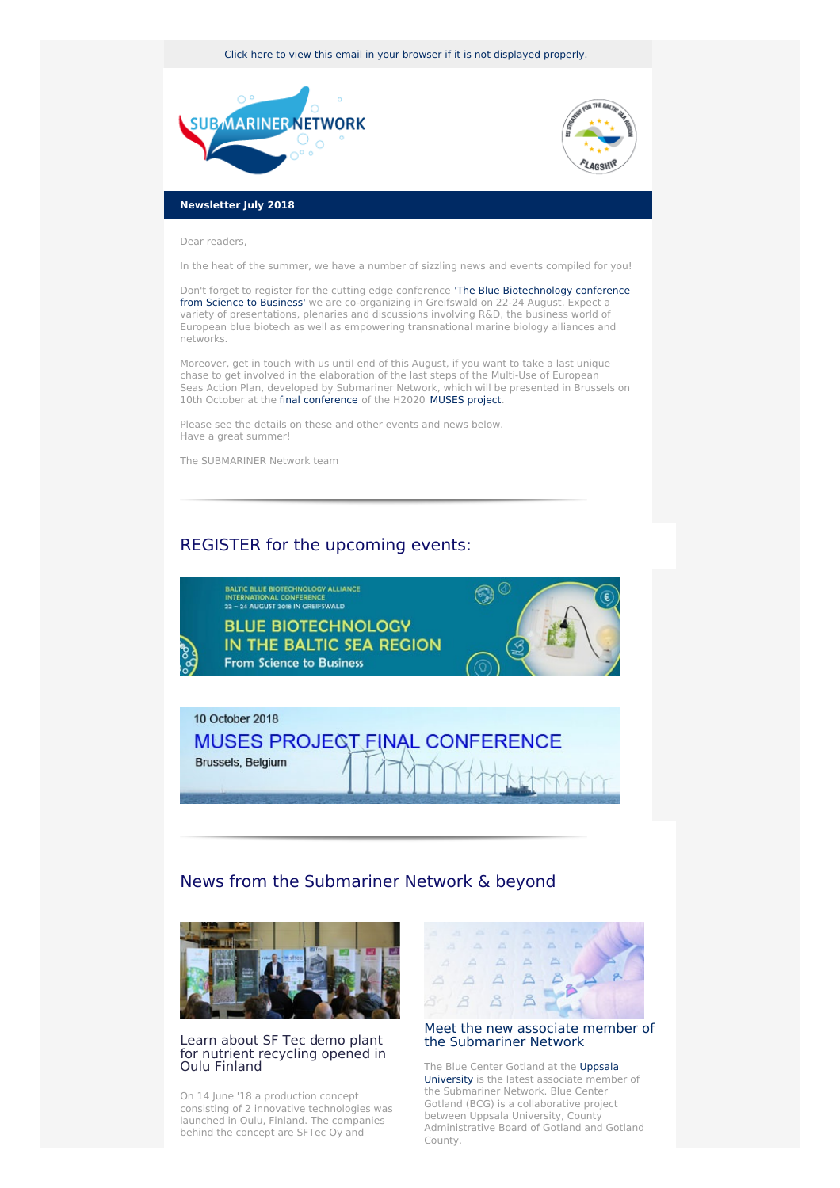Click here to view this email in your browser if it is not [displayed](http://www.newsletter-webversion.de/testmail/) properly.





#### **Newsletter July 2018**

Dear readers,

In the heat of the summer, we have a number of sizzling news and events compiled for you!

Don't forget to register for the cutting edge conference 'The Blue [Biotechnology](https://www.submariner-network.eu/projects/balticbluebioalliance/conference) conference from Science to Business' we are co-organizing in Greifswald on 22-24 August. Expect a variety of presentations, plenaries and discussions involving R&D, the business world of European blue biotech as well as empowering transnational marine biology alliances and networks.

Moreover, get in touch with us until end of this August, if you want to take a last unique chase to get involved in the elaboration of the last steps of the Multi-Use of European Seas Action Plan, developed by Submariner Network, which will be presented in Brussels on 10th October at the final [conference](https://www.submariner-network.eu/news/general-news/338-save-the-date-muses-project-final-conference) of the H2020 [MUSES](https://www.submariner-network.eu/projects/muses) project.

Please see the details on these and other events and news below. Have a great summer!

The SUBMARINER Network team

## REGISTER for the upcoming events:





# News from the Submariner Network & beyond



## Learn about SF Tec demo plant for nutrient [recycling](https://www.submariner-network.eu/projects/balticbluebioalliance/alliance-news/353-demoplant-for-nutrient-recycling-opened-in-oulu-finland) opened in Oulu Finland

On 14 June '18 a production concept consisting of 2 innovative technologies was launched in Oulu, Finland. The companies behind the concept are SFTec Oy and



## Meet the new associate member of the [Submariner](http://www.campusgotland.uu.se/samverkan/bcg/) Network

The Blue Center Gotland at the Uppsala [University](http://www.uu.se/en) is the latest associate member of the Submariner Network. Blue Center Gotland (BCG) is a collaborative project between Uppsala University, County Administrative Board of Gotland and Gotland County.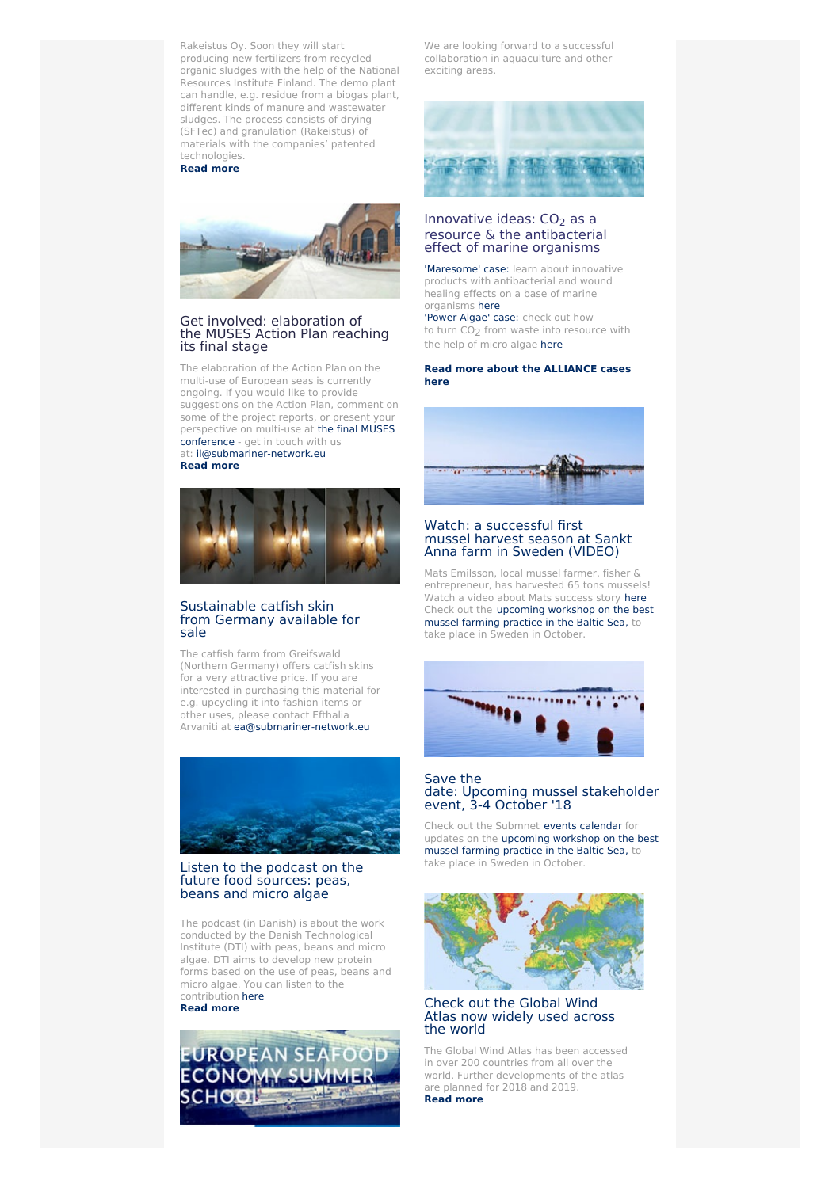Rakeistus Oy. Soon they will start producing new fertilizers from recycled organic sludges with the help of the National Resources Institute Finland. The demo plant can handle, e.g. residue from a biogas plant, different kinds of manure and wastewater sludges. The process consists of drying (SFTec) and granulation (Rakeistus) of materials with the companies' patented technologies.

**[Read](https://www.submariner-network.eu/projects/balticbluebioalliance/alliance-news/353-demoplant-for-nutrient-recycling-opened-in-oulu-finland) more**



#### Get involved: elaboration of the MUSES Action Plan reaching its final stage

The elaboration of the Action Plan on the multi-use of European seas is currently ongoing. If you would like to provide suggestions on the Action Plan, comment on some of the project reports, or present your [perspective](https://www.submariner-network.eu/news/general-news/338-save-the-date-muses-project-final-conference) on multi-use at the final MUSES conference - get in touch with us at: <il@submariner-network.eu>

**[Read](https://www.submariner-network.eu/projects/balticrim/balticrim-news-2/348-balticrim-experts-at-the-muses-workshop-in-venice-strategic-outreach-to-other-maritime-spa-tial-planning-initiatives) more**



## [Sustainable](https://www.sukower.de/index.html) catfish skin from Germany available for sale

The catfish farm from Greifswald (Northern Germany) offers catfish skins for a very attractive price. If you are interested in purchasing this material for e.g. upcycling it into fashion items or other uses, please contact Efthalia Arvaniti at [ea@submariner-network.eu]( ea@submariner-network.eu)



### Listen to the podcast on the future food [sources:](http://tr.anpdm.com/track?t=c&mid=21643111&uid=1319947679&&&https%3A%2F%2Fwww.dr.dk%2Fradio%2Fp1%2Fkulturen-pa-p1%2Fkulturen-pa-p1-77%3Futm_campaign%3Dunspecified%26utm_content%3Dunspecified%26utm_medium%3Demail%26utm_source%3Dapsis-anp-3%23!01%3A40%3A22) peas, beans and micro algae

The podcast (in Danish) is about the work conducted by the Danish Technological Institute (DTI) with peas, beans and micro algae. DTI aims to develop new protein forms based on the use of peas, beans and micro algae. You can listen to the contribution [here](http://tr.anpdm.com/track?t=c&mid=21643111&uid=1319947679&&&https%3A%2F%2Fwww.dr.dk%2Fradio%2Fp1%2Fkulturen-pa-p1%2Fkulturen-pa-p1-77%3Futm_campaign%3Dunspecified%26utm_content%3Dunspecified%26utm_medium%3Demail%26utm_source%3Dapsis-anp-3%23!01%3A40%3A22)

**[Read](http://tr.anpdm.com/track?t=c&mid=21643111&uid=1319947679&&&https%3A%2F%2Fwww.dr.dk%2Fradio%2Fp1%2Fkulturen-pa-p1%2Fkulturen-pa-p1-77%3Futm_campaign%3Dunspecified%26utm_content%3Dunspecified%26utm_medium%3Demail%26utm_source%3Dapsis-anp-3%23!01%3A40%3A22) more**



We are looking forward to a successful collaboration in aquaculture and other exciting areas.



## Innovative ideas:  $CO<sub>2</sub>$  as a resource & the antibacterial effect of marine organisms

['Maresome'](https://www.submariner-network.eu/projects/balticbluebioalliance/alliance-cases/maresome-innovative-products-with-antibacterial-and-wound-healing-effects-on-a-base-of-marine-organisms) case: learn about innovative products with antibacterial and wound healing effects on a base of marine organisms [here](https://www.submariner-network.eu/projects/balticbluebioalliance/alliance-cases/maresome-innovative-products-with-antibacterial-and-wound-healing-effects-on-a-base-of-marine-organisms)

['Power]( https://www.submariner-network.eu/projects/balticbluebioalliance/alliance-cases/power-algae) Algae' case: check out how to turn CO<sub>2</sub> from waste into resource with the help of micro algae [here]( https://www.submariner-network.eu/projects/balticbluebioalliance/alliance-cases/power-algae)

#### **Read more about the [ALLIANCE](https://www.submariner-network.eu/projects/balticbluebioalliance/alliance-cases) cases here**



#### Watch: a [successful](https://www.submariner-network.eu/projects/balticbluegrowth/baltic-blue-growth-news/334-a-successful-first-harvest-season-in-sankt-anna-sweden) first mussel harvest season at Sankt Anna farm in Sweden (VIDEO)

Mats Emilsson, local mussel farmer, fisher & entrepreneur, has harvested 65 tons mussels! Watch a video about Mats success story [here](https://www.submariner-network.eu/projects/balticbluegrowth/baltic-blue-growth-news/334-a-successful-first-harvest-season-in-sankt-anna-sweden) Check out the [upcoming](https://www.submariner-network.eu/events/137-workshop-on-the-best-mussel-farming-practice-in-the-baltic-sea) workshop on the best mussel farming practice in the Baltic Sea, to take place in Sweden in October.



#### Save the date: Upcoming mussel [stakeholder](https://www.submariner-network.eu/events/137-workshop-on-the-best-mussel-farming-practice-in-the-baltic-sea) event, 3-4 October '18

Check out the Submnet events [calendar](https://www.submariner-network.eu/events) for updates on the [upcoming](https://www.submariner-network.eu/events/137-workshop-on-the-best-mussel-farming-practice-in-the-baltic-sea) workshop on the best mussel farming practice in the Baltic Sea, to take place in Sweden in October.



## Check out the Global Wind Atlas now [widely](http://www.vindenergi.dtu.dk/english/news/2018/06/the-global-wind-atlas-is-widely-used-across-the-world?id%3D9aa9019b-6ff8-4212-9f0b-2ab0adb8137e) used across the world

The Global Wind Atlas has been accessed in over 200 countries from all over the world. Further developments of the atlas are planned for 2018 and 2019.

**[Read](http://www.vindenergi.dtu.dk/english/news/2018/06/the-global-wind-atlas-is-widely-used-across-the-world?id%3D9aa9019b-6ff8-4212-9f0b-2ab0adb8137e) more**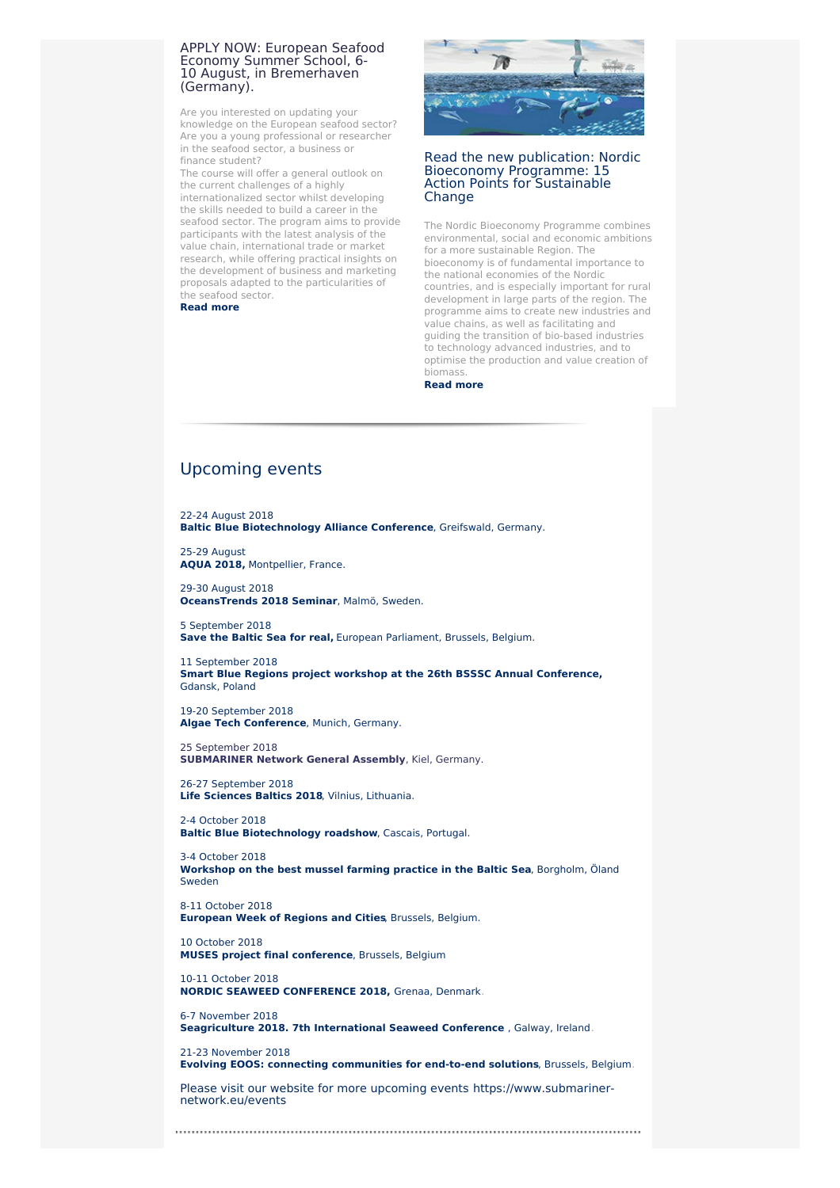### APPLY NOW: European Seafood Economy Summer School, 6- 10 August, in [Bremerhaven](https://www.submariner-network.eu/events/135-european-seafood-economy-summer-school) (Germany).

Are you interested on updating your knowledge on the European seafood sector? Are you a young professional or researcher in the seafood sector, a business or finance student?

The course will offer a general outlook on the current challenges of a highly internationalized sector whilst developing the skills needed to build a career in the seafood sector. The program aims to provide participants with the latest analysis of the value chain, international trade or market research, while offering practical insights on the development of business and marketing proposals adapted to the particularities of the seafood sector.

**[Read](https://www.submariner-network.eu/events/135-european-seafood-economy-summer-school) more**



## Read the new publication: Nordic Bioeconomy [Programme:](http://norden.diva-portal.org/smash/record.jsf?pid=diva2%3A1222743&dswid=5455) 15 Action Points for Sustainable Change

The Nordic Bioeconomy Programme combines environmental, social and economic ambitions for a more sustainable Region. The bioeconomy is of fundamental importance to the national economies of the Nordic countries, and is especially important for rural development in large parts of the region. The programme aims to create new industries and value chains, as well as facilitating and guiding the transition of bio-based industries to technology advanced industries, and to optimise the production and value creation of biomass.

**[Read](http://norden.diva-portal.org/smash/record.jsf?pid=diva2%3A1222743&dswid=5455) more**

# [Upcoming](https://www.submariner-network.eu/events) events

22-24 [August](https://www.submariner-network.eu/projects/balticbluebioalliance/conference) 2018 **Baltic Blue [Biotechnology](https://www.submariner-network.eu/projects/balticbluebioalliance/conference) Alliance Conference**, Greifswald, Germany.

25-29 [August](https://www.submariner-network.eu/events/96-aqua-2018) **AQUA 2018,** [Montpellier,](https://www.submariner-network.eu/events/96-aqua-2018) France.

29-30 [August](http://scholar.wmu.se/oceanstrends) 2018 **[OceansTrends](http://scholar.wmu.se/oceanstrends) 2018 Seminar**, Malmö, Sweden.

5 [September](https://cpmr-baltic.org/maritime/save-the-baltic-sea-for-real-event-at-the-european-parliament/2531/) 2018 **Save the Baltic Sea for real,** European [Parliament,](https://cpmr-baltic.org/maritime/save-the-baltic-sea-for-real-event-at-the-european-parliament/2531/) Brussels, Belgium.

11 [September](https://www.submariner-network.eu/events/139-smart-blue-regions-project-workshop-at-the-26th-bsssc-annual-conference) 2018 **Smart Blue Regions project workshop at the 26th BSSSC Annual [Conference,](https://www.submariner-network.eu/events/139-smart-blue-regions-project-workshop-at-the-26th-bsssc-annual-conference)** Gdansk, Poland

19-20 [September](https://cpmr-baltic.org/maritime/save-the-baltic-sea-for-real-event-at-the-european-parliament/2531/) 2018 **Algae Tech [Conference](https://cpmr-baltic.org/maritime/save-the-baltic-sea-for-real-event-at-the-european-parliament/2531/)**, Munich, Germany.

25 September 2018 **SUBMARINER Network General Assembly**, Kiel, Germany.

26-27 [September](https://lsb2018.com/about/) 2018 **Life Sciences Baltics 2018**, Vilnius, [Lithuania.](https://lsb2018.com/about/)

2-4 [October](https://biomarine.org/events/6272) 2018 **Baltic Blue [Biotechnology](https://biomarine.org/events/6272) roadshow**, Cascais, Portugal.

3-4 [October](https://www.submariner-network.eu/events/137-workshop-on-the-best-mussel-farming-practice-in-the-baltic-sea) 2018 **[Workshop](https://www.submariner-network.eu/events/137-workshop-on-the-best-mussel-farming-practice-in-the-baltic-sea) on the best mussel farming practice in the Baltic Sea**, Borgholm, Öland Sweden

8-11 [October](https://www.submariner-network.eu/events/133-european-week-of-regions-and-cities) 2018 **[European](https://www.submariner-network.eu/events/133-european-week-of-regions-and-cities) Week of Regions and Cities**, Brussels, Belgium.

10 [October](https://www.submariner-network.eu/news/general-news/338-save-the-date-muses-project-final-conference) 2018 **MUSES project final [conference](https://www.submariner-network.eu/news/general-news/338-save-the-date-muses-project-final-conference)**, Brussels, Belgium

10-11 [October](http://www.algecenterdanmark.dk/conferences/nordic-seaweed-conference-2018.aspx) 2018 **NORDIC SEAWEED [CONFERENCE](http://www.algecenterdanmark.dk/conferences/nordic-seaweed-conference-2018.aspx) 2018,** Grenaa, Denmark.

6-7 [November](https://www.submariner-network.eu/events/134-seagriculture-2018-7th-international-seaweed-conference) 2018 **[Seagriculture](https://www.submariner-network.eu/events/134-seagriculture-2018-7th-international-seaweed-conference) 2018. 7th International Seaweed Conference** , Galway, Ireland.

21-23 [November](https://eoosconference2018.eu/conference-programme) 2018 **Evolving EOOS: connecting [communities](https://eoosconference2018.eu/conference-programme) for end-to-end solutions**, Brussels, Belgium.

Please visit our website for more [upcoming](https://www.submariner-network.eu/events) events [https://www.submariner](https://www.submariner-network.eu/events)network.eu/events